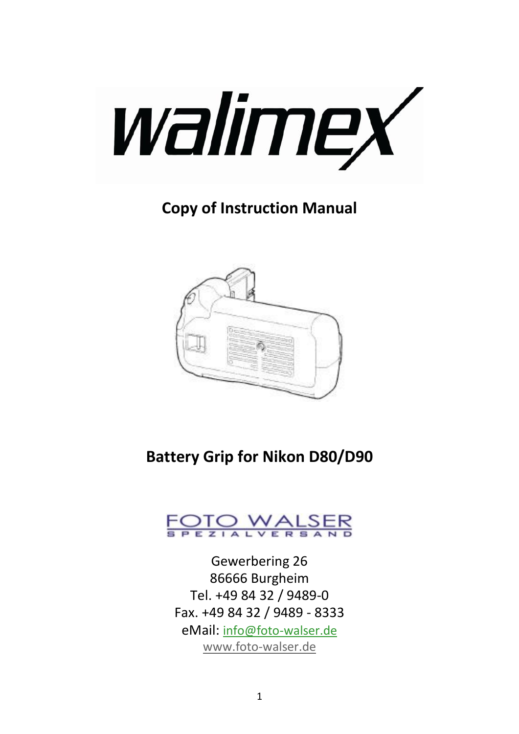

# **Copy of Instruction Manual**



# **Battery Grip for Nikon D80/D90**



Gewerbering 26 86666 Burgheim Tel. +49 84 32 / 9489-0 Fax. +49 84 32 / 9489 - 8333 eMail: [info@foto-walser.de](mailto:info@foto-walser.de) [www.foto-walser.de](http://www.foto-walser.de/)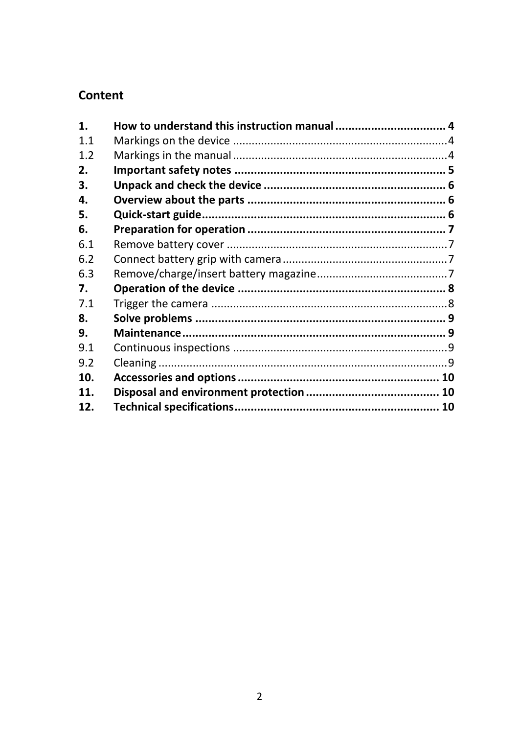#### Content

| 1.  | How to understand this instruction manual  4 |  |
|-----|----------------------------------------------|--|
| 11  |                                              |  |
| 1.2 |                                              |  |
| 2.  |                                              |  |
| 3.  |                                              |  |
| 4.  |                                              |  |
| 5.  |                                              |  |
| 6.  |                                              |  |
| 6.1 |                                              |  |
| 6.2 |                                              |  |
| 6.3 |                                              |  |
| 7.  |                                              |  |
| 7.1 |                                              |  |
| 8.  |                                              |  |
| 9.  |                                              |  |
| 9.1 |                                              |  |
| 9.2 |                                              |  |
| 10. |                                              |  |
| 11. |                                              |  |
| 12. |                                              |  |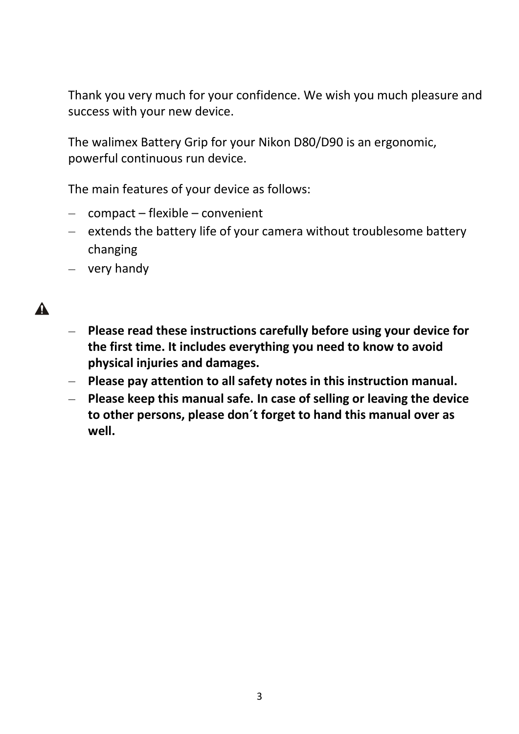Thank you very much for your confidence. We wish you much pleasure and success with your new device.

The walimex Battery Grip for your Nikon D80/D90 is an ergonomic, powerful continuous run device.

The main features of your device as follows:

- $-$  compact flexible convenient
- $e$  extends the battery life of your camera without troublesome battery changing
- $-$  very handy

# $\blacktriangle$

- **Please read these instructions carefully before using your device for the first time. It includes everything you need to know to avoid physical injuries and damages.**
- **Please pay attention to all safety notes in this instruction manual.**
- **Please keep this manual safe. In case of selling or leaving the device to other persons, please don´t forget to hand this manual over as well.**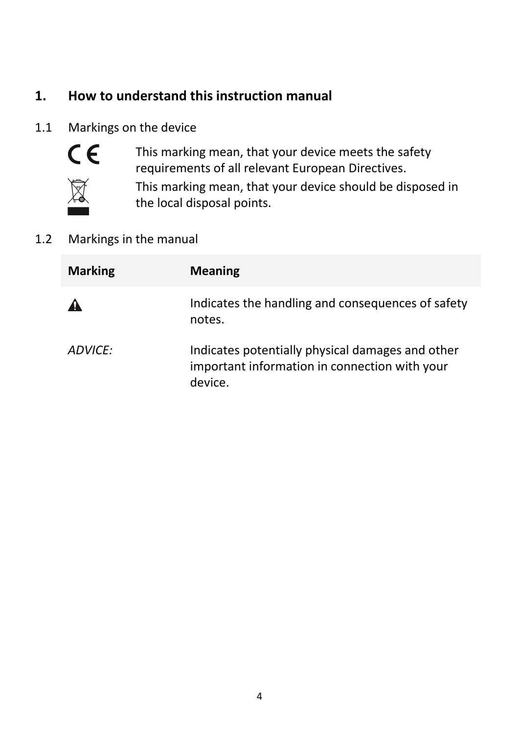# **1. How to understand this instruction manual**

#### 1.1 Markings on the device



This marking mean, that your device meets the safety requirements of all relevant European Directives.



This marking mean, that your device should be disposed in the local disposal points.

#### 1.2 Markings in the manual

| <b>Marking</b> | <b>Meaning</b>                                                                                               |
|----------------|--------------------------------------------------------------------------------------------------------------|
|                | Indicates the handling and consequences of safety<br>notes.                                                  |
| ADVICE:        | Indicates potentially physical damages and other<br>important information in connection with your<br>device. |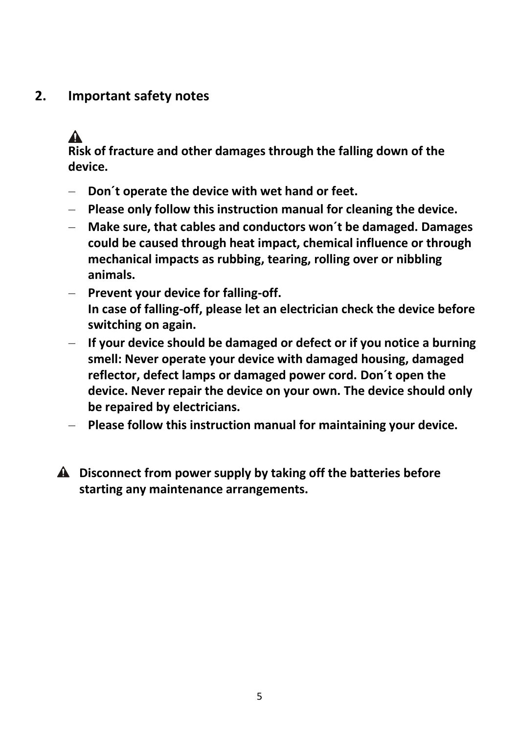## **2. Important safety notes**

# $\blacktriangle$

**Risk of fracture and other damages through the falling down of the device.**

- **Don´t operate the device with wet hand or feet.**
- **Please only follow this instruction manual for cleaning the device.**
- **Make sure, that cables and conductors won´t be damaged. Damages could be caused through heat impact, chemical influence or through mechanical impacts as rubbing, tearing, rolling over or nibbling animals.**
- **Prevent your device for falling-off. In case of falling-off, please let an electrician check the device before switching on again.**
- **If your device should be damaged or defect or if you notice a burning smell: Never operate your device with damaged housing, damaged reflector, defect lamps or damaged power cord. Don´t open the device. Never repair the device on your own. The device should only be repaired by electricians.**
- **Please follow this instruction manual for maintaining your device.**
- **Disconnect from power supply by taking off the batteries before starting any maintenance arrangements.**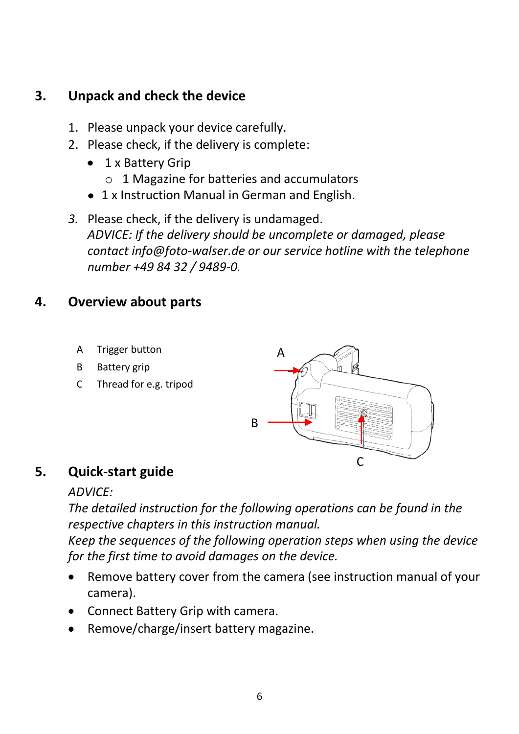## **3. Unpack and check the device**

- 1. Please unpack your device carefully.
- 2. Please check, if the delivery is complete:
	- 1 x Battery Grip  $\bullet$  .
		- o 1 Magazine for batteries and accumulators
	- 1 x Instruction Manual in German and English.

*3.* Please check, if the delivery is undamaged. *ADVICE: If the delivery should be uncomplete or damaged, please contact info@foto-walser.de or our service hotline with the telephone number +49 84 32 / 9489-0.*

## **4. Overview about parts**

- A Trigger button
- B Battery grip
- C Thread for e.g. tripod



## **5. Quick-start guide**

#### *ADVICE:*

*The detailed instruction for the following operations can be found in the respective chapters in this instruction manual.* 

*Keep the sequences of the following operation steps when using the device for the first time to avoid damages on the device.*

- Remove battery cover from the camera (see instruction manual of your  $\bullet$ camera).
- Connect Battery Grip with camera.
- Remove/charge/insert battery magazine.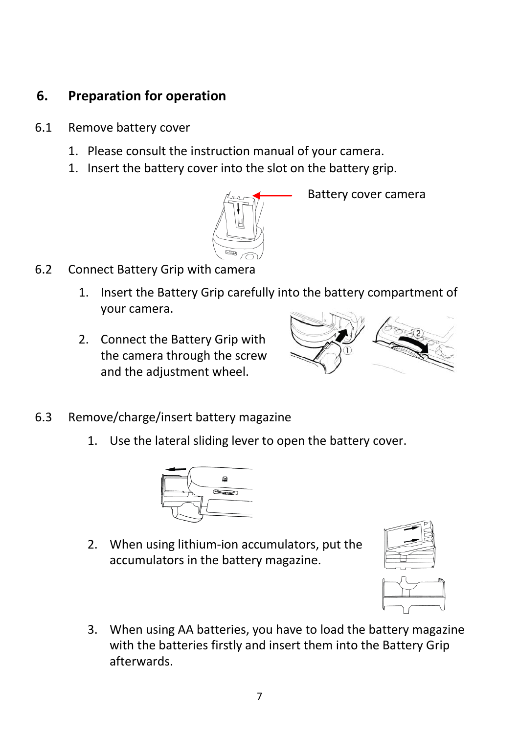# **6. Preparation for operation**

- 6.1 Remove battery cover
	- 1. Please consult the instruction manual of your camera.
	- 1. Insert the battery cover into the slot on the battery grip.



Battery cover camera

- 6.2 Connect Battery Grip with camera
	- 1. Insert the Battery Grip carefully into the battery compartment of your camera.
	- 2. Connect the Battery Grip with the camera through the screw and the adjustment wheel.



- 6.3 Remove/charge/insert battery magazine
	- 1. Use the lateral sliding lever to open the battery cover.



2. When using lithium-ion accumulators, put the accumulators in the battery magazine.





3. When using AA batteries, you have to load the battery magazine with the batteries firstly and insert them into the Battery Grip afterwards.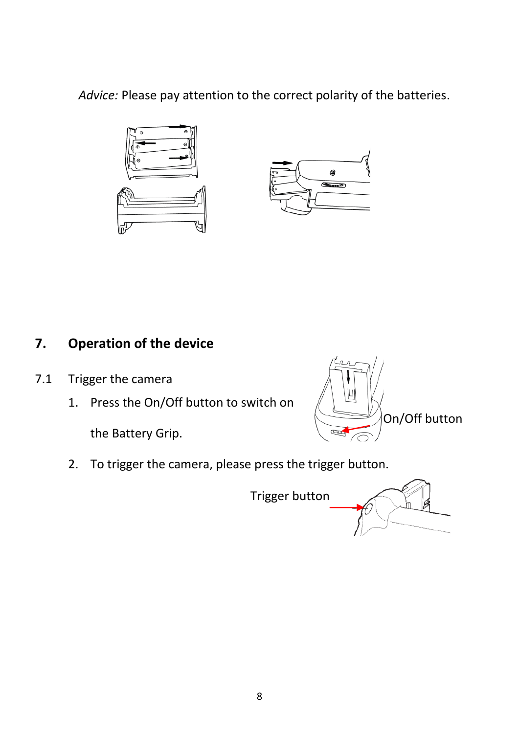*Advice:* Please pay attention to the correct polarity of the batteries.



# **7. Operation of the device**

- 7.1 Trigger the camera
	- 1. Press the On/Off button to switch on

the Battery Grip.



2. To trigger the camera, please press the trigger button.

Trigger button

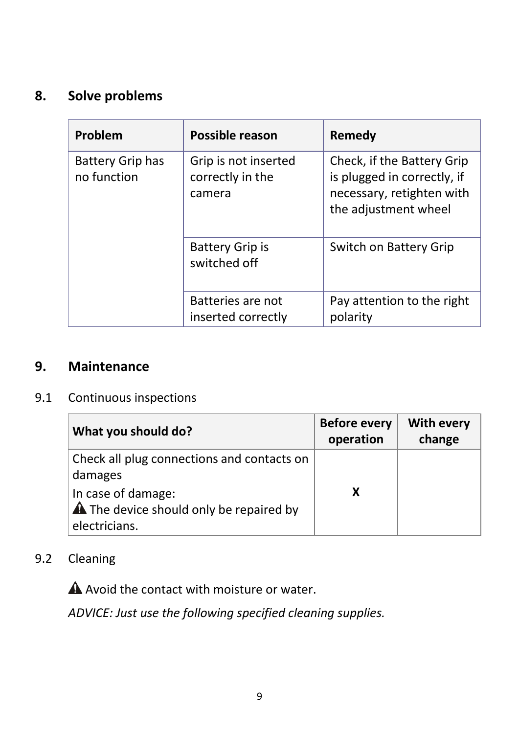# **8. Solve problems**

| Problem                         | Possible reason                                    | Remedy                                                                                                         |
|---------------------------------|----------------------------------------------------|----------------------------------------------------------------------------------------------------------------|
| Battery Grip has<br>no function | Grip is not inserted<br>correctly in the<br>camera | Check, if the Battery Grip<br>is plugged in correctly, if<br>necessary, retighten with<br>the adjustment wheel |
|                                 | <b>Battery Grip is</b><br>switched off             | Switch on Battery Grip                                                                                         |
|                                 | Batteries are not<br>inserted correctly            | Pay attention to the right<br>polarity                                                                         |

## **9. Maintenance**

#### 9.1 Continuous inspections

| What you should do?                                                                   | <b>Before every</b><br>operation | With every<br>change |
|---------------------------------------------------------------------------------------|----------------------------------|----------------------|
| Check all plug connections and contacts on<br>damages                                 |                                  |                      |
| In case of damage:<br><b>A</b> The device should only be repaired by<br>electricians. | x                                |                      |

9.2 Cleaning

A Avoid the contact with moisture or water.

*ADVICE: Just use the following specified cleaning supplies.*